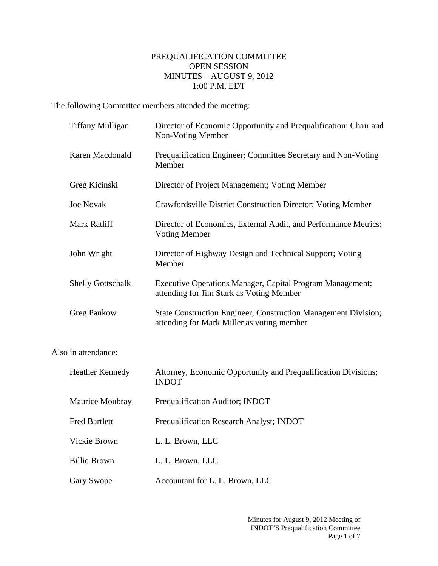## PREQUALIFICATION COMMITTEE OPEN SESSION MINUTES – AUGUST 9, 2012 1:00 P.M. EDT

The following Committee members attended the meeting:

| <b>Tiffany Mulligan</b>  | Director of Economic Opportunity and Prequalification; Chair and<br>Non-Voting Member                        |
|--------------------------|--------------------------------------------------------------------------------------------------------------|
| Karen Macdonald          | Prequalification Engineer; Committee Secretary and Non-Voting<br>Member                                      |
| Greg Kicinski            | Director of Project Management; Voting Member                                                                |
| <b>Joe Novak</b>         | Crawfordsville District Construction Director; Voting Member                                                 |
| Mark Ratliff             | Director of Economics, External Audit, and Performance Metrics;<br><b>Voting Member</b>                      |
| John Wright              | Director of Highway Design and Technical Support; Voting<br>Member                                           |
| <b>Shelly Gottschalk</b> | Executive Operations Manager, Capital Program Management;<br>attending for Jim Stark as Voting Member        |
| <b>Greg Pankow</b>       | State Construction Engineer, Construction Management Division;<br>attending for Mark Miller as voting member |
| Also in attendance:      |                                                                                                              |
| <b>Heather Kennedy</b>   | Attorney, Economic Opportunity and Prequalification Divisions;<br><b>INDOT</b>                               |
| Maurice Moubray          | Prequalification Auditor; INDOT                                                                              |
| <b>Fred Bartlett</b>     | Prequalification Research Analyst; INDOT                                                                     |
| Vickie Brown             | L. L. Brown, LLC                                                                                             |
| <b>Billie Brown</b>      | L. L. Brown, LLC                                                                                             |
| Gary Swope               | Accountant for L. L. Brown, LLC                                                                              |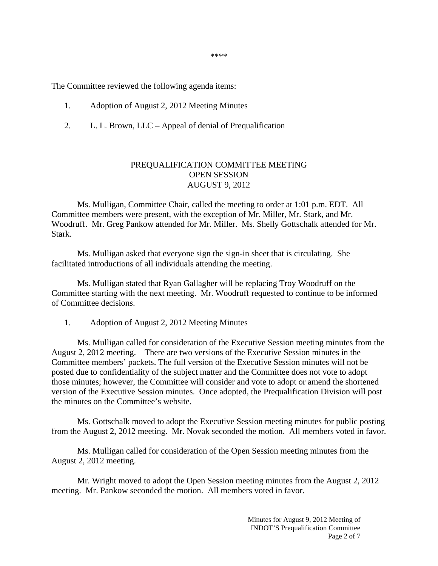The Committee reviewed the following agenda items:

- 1. Adoption of August 2, 2012 Meeting Minutes
- 2. L. L. Brown, LLC Appeal of denial of Prequalification

## PREQUALIFICATION COMMITTEE MEETING OPEN SESSION AUGUST 9, 2012

 Ms. Mulligan, Committee Chair, called the meeting to order at 1:01 p.m. EDT. All Committee members were present, with the exception of Mr. Miller, Mr. Stark, and Mr. Woodruff. Mr. Greg Pankow attended for Mr. Miller. Ms. Shelly Gottschalk attended for Mr. Stark.

Ms. Mulligan asked that everyone sign the sign-in sheet that is circulating. She facilitated introductions of all individuals attending the meeting.

Ms. Mulligan stated that Ryan Gallagher will be replacing Troy Woodruff on the Committee starting with the next meeting. Mr. Woodruff requested to continue to be informed of Committee decisions.

1. Adoption of August 2, 2012 Meeting Minutes

Ms. Mulligan called for consideration of the Executive Session meeting minutes from the August 2, 2012 meeting. There are two versions of the Executive Session minutes in the Committee members' packets. The full version of the Executive Session minutes will not be posted due to confidentiality of the subject matter and the Committee does not vote to adopt those minutes; however, the Committee will consider and vote to adopt or amend the shortened version of the Executive Session minutes. Once adopted, the Prequalification Division will post the minutes on the Committee's website.

 Ms. Gottschalk moved to adopt the Executive Session meeting minutes for public posting from the August 2, 2012 meeting. Mr. Novak seconded the motion. All members voted in favor.

 Ms. Mulligan called for consideration of the Open Session meeting minutes from the August 2, 2012 meeting.

 Mr. Wright moved to adopt the Open Session meeting minutes from the August 2, 2012 meeting. Mr. Pankow seconded the motion. All members voted in favor.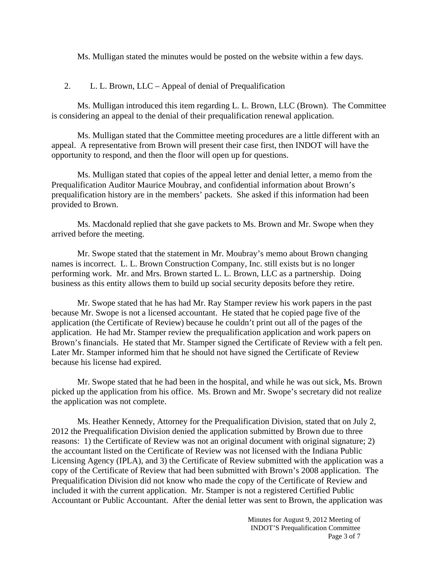Ms. Mulligan stated the minutes would be posted on the website within a few days.

2. L. L. Brown, LLC – Appeal of denial of Prequalification

Ms. Mulligan introduced this item regarding L. L. Brown, LLC (Brown). The Committee is considering an appeal to the denial of their prequalification renewal application.

Ms. Mulligan stated that the Committee meeting procedures are a little different with an appeal. A representative from Brown will present their case first, then INDOT will have the opportunity to respond, and then the floor will open up for questions.

Ms. Mulligan stated that copies of the appeal letter and denial letter, a memo from the Prequalification Auditor Maurice Moubray, and confidential information about Brown's prequalification history are in the members' packets. She asked if this information had been provided to Brown.

Ms. Macdonald replied that she gave packets to Ms. Brown and Mr. Swope when they arrived before the meeting.

Mr. Swope stated that the statement in Mr. Moubray's memo about Brown changing names is incorrect. L. L. Brown Construction Company, Inc. still exists but is no longer performing work. Mr. and Mrs. Brown started L. L. Brown, LLC as a partnership. Doing business as this entity allows them to build up social security deposits before they retire.

Mr. Swope stated that he has had Mr. Ray Stamper review his work papers in the past because Mr. Swope is not a licensed accountant. He stated that he copied page five of the application (the Certificate of Review) because he couldn't print out all of the pages of the application. He had Mr. Stamper review the prequalification application and work papers on Brown's financials. He stated that Mr. Stamper signed the Certificate of Review with a felt pen. Later Mr. Stamper informed him that he should not have signed the Certificate of Review because his license had expired.

Mr. Swope stated that he had been in the hospital, and while he was out sick, Ms. Brown picked up the application from his office. Ms. Brown and Mr. Swope's secretary did not realize the application was not complete.

Ms. Heather Kennedy, Attorney for the Prequalification Division, stated that on July 2, 2012 the Prequalification Division denied the application submitted by Brown due to three reasons: 1) the Certificate of Review was not an original document with original signature; 2) the accountant listed on the Certificate of Review was not licensed with the Indiana Public Licensing Agency (IPLA), and 3) the Certificate of Review submitted with the application was a copy of the Certificate of Review that had been submitted with Brown's 2008 application. The Prequalification Division did not know who made the copy of the Certificate of Review and included it with the current application. Mr. Stamper is not a registered Certified Public Accountant or Public Accountant. After the denial letter was sent to Brown, the application was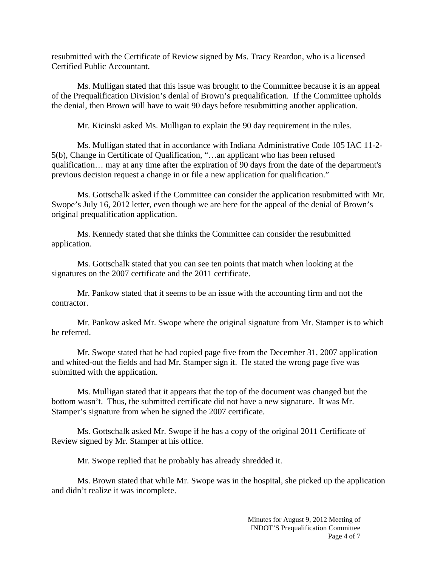resubmitted with the Certificate of Review signed by Ms. Tracy Reardon, who is a licensed Certified Public Accountant.

Ms. Mulligan stated that this issue was brought to the Committee because it is an appeal of the Prequalification Division's denial of Brown's prequalification. If the Committee upholds the denial, then Brown will have to wait 90 days before resubmitting another application.

Mr. Kicinski asked Ms. Mulligan to explain the 90 day requirement in the rules.

Ms. Mulligan stated that in accordance with Indiana Administrative Code 105 IAC 11-2- 5(b), Change in Certificate of Qualification, "…an applicant who has been refused qualification… may at any time after the expiration of 90 days from the date of the department's previous decision request a change in or file a new application for qualification."

Ms. Gottschalk asked if the Committee can consider the application resubmitted with Mr. Swope's July 16, 2012 letter, even though we are here for the appeal of the denial of Brown's original prequalification application.

Ms. Kennedy stated that she thinks the Committee can consider the resubmitted application.

Ms. Gottschalk stated that you can see ten points that match when looking at the signatures on the 2007 certificate and the 2011 certificate.

Mr. Pankow stated that it seems to be an issue with the accounting firm and not the contractor.

Mr. Pankow asked Mr. Swope where the original signature from Mr. Stamper is to which he referred.

Mr. Swope stated that he had copied page five from the December 31, 2007 application and whited-out the fields and had Mr. Stamper sign it. He stated the wrong page five was submitted with the application.

Ms. Mulligan stated that it appears that the top of the document was changed but the bottom wasn't. Thus, the submitted certificate did not have a new signature. It was Mr. Stamper's signature from when he signed the 2007 certificate.

Ms. Gottschalk asked Mr. Swope if he has a copy of the original 2011 Certificate of Review signed by Mr. Stamper at his office.

Mr. Swope replied that he probably has already shredded it.

Ms. Brown stated that while Mr. Swope was in the hospital, she picked up the application and didn't realize it was incomplete.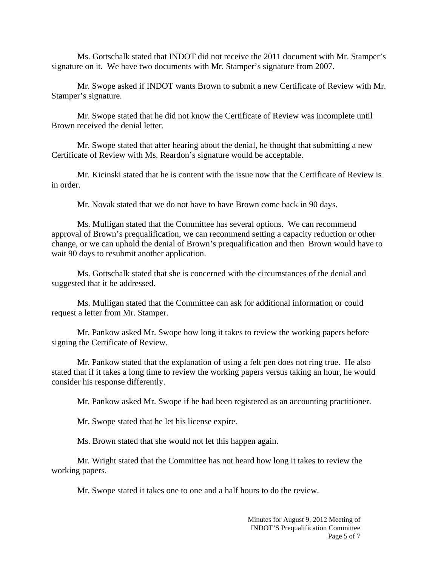Ms. Gottschalk stated that INDOT did not receive the 2011 document with Mr. Stamper's signature on it. We have two documents with Mr. Stamper's signature from 2007.

Mr. Swope asked if INDOT wants Brown to submit a new Certificate of Review with Mr. Stamper's signature.

Mr. Swope stated that he did not know the Certificate of Review was incomplete until Brown received the denial letter.

Mr. Swope stated that after hearing about the denial, he thought that submitting a new Certificate of Review with Ms. Reardon's signature would be acceptable.

Mr. Kicinski stated that he is content with the issue now that the Certificate of Review is in order.

Mr. Novak stated that we do not have to have Brown come back in 90 days.

Ms. Mulligan stated that the Committee has several options. We can recommend approval of Brown's prequalification, we can recommend setting a capacity reduction or other change, or we can uphold the denial of Brown's prequalification and then Brown would have to wait 90 days to resubmit another application.

Ms. Gottschalk stated that she is concerned with the circumstances of the denial and suggested that it be addressed.

Ms. Mulligan stated that the Committee can ask for additional information or could request a letter from Mr. Stamper.

Mr. Pankow asked Mr. Swope how long it takes to review the working papers before signing the Certificate of Review.

Mr. Pankow stated that the explanation of using a felt pen does not ring true. He also stated that if it takes a long time to review the working papers versus taking an hour, he would consider his response differently.

Mr. Pankow asked Mr. Swope if he had been registered as an accounting practitioner.

Mr. Swope stated that he let his license expire.

Ms. Brown stated that she would not let this happen again.

Mr. Wright stated that the Committee has not heard how long it takes to review the working papers.

Mr. Swope stated it takes one to one and a half hours to do the review.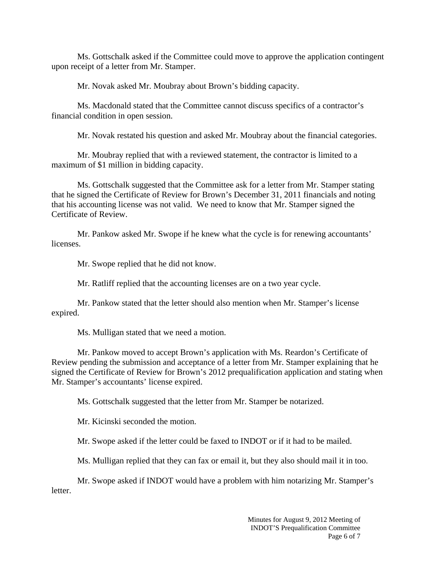Ms. Gottschalk asked if the Committee could move to approve the application contingent upon receipt of a letter from Mr. Stamper.

Mr. Novak asked Mr. Moubray about Brown's bidding capacity.

Ms. Macdonald stated that the Committee cannot discuss specifics of a contractor's financial condition in open session.

Mr. Novak restated his question and asked Mr. Moubray about the financial categories.

Mr. Moubray replied that with a reviewed statement, the contractor is limited to a maximum of \$1 million in bidding capacity.

Ms. Gottschalk suggested that the Committee ask for a letter from Mr. Stamper stating that he signed the Certificate of Review for Brown's December 31, 2011 financials and noting that his accounting license was not valid. We need to know that Mr. Stamper signed the Certificate of Review.

Mr. Pankow asked Mr. Swope if he knew what the cycle is for renewing accountants' licenses.

Mr. Swope replied that he did not know.

Mr. Ratliff replied that the accounting licenses are on a two year cycle.

Mr. Pankow stated that the letter should also mention when Mr. Stamper's license expired.

Ms. Mulligan stated that we need a motion.

Mr. Pankow moved to accept Brown's application with Ms. Reardon's Certificate of Review pending the submission and acceptance of a letter from Mr. Stamper explaining that he signed the Certificate of Review for Brown's 2012 prequalification application and stating when Mr. Stamper's accountants' license expired.

Ms. Gottschalk suggested that the letter from Mr. Stamper be notarized.

Mr. Kicinski seconded the motion.

Mr. Swope asked if the letter could be faxed to INDOT or if it had to be mailed.

Ms. Mulligan replied that they can fax or email it, but they also should mail it in too.

Mr. Swope asked if INDOT would have a problem with him notarizing Mr. Stamper's letter.